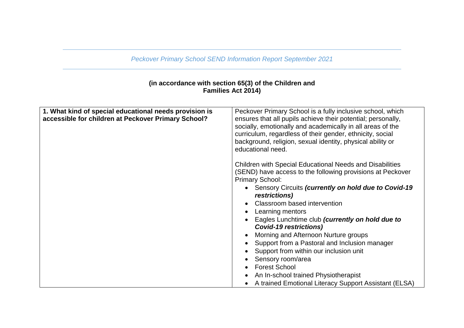*Peckover Primary School SEND Information Report September 2021*

## **(in accordance with section 65(3) of the Children and Families Act 2014)**

| 1. What kind of special educational needs provision is<br>accessible for children at Peckover Primary School? | Peckover Primary School is a fully inclusive school, which<br>ensures that all pupils achieve their potential; personally,<br>socially, emotionally and academically in all areas of the<br>curriculum, regardless of their gender, ethnicity, social<br>background, religion, sexual identity, physical ability or<br>educational need.                                                                                                                                                                                                                                                                                                                          |
|---------------------------------------------------------------------------------------------------------------|-------------------------------------------------------------------------------------------------------------------------------------------------------------------------------------------------------------------------------------------------------------------------------------------------------------------------------------------------------------------------------------------------------------------------------------------------------------------------------------------------------------------------------------------------------------------------------------------------------------------------------------------------------------------|
|                                                                                                               | <b>Children with Special Educational Needs and Disabilities</b><br>(SEND) have access to the following provisions at Peckover<br><b>Primary School:</b><br>• Sensory Circuits (currently on hold due to Covid-19<br><i>restrictions)</i><br>Classroom based intervention<br>Learning mentors<br>Eagles Lunchtime club (currently on hold due to<br><b>Covid-19 restrictions)</b><br>Morning and Afternoon Nurture groups<br>Support from a Pastoral and Inclusion manager<br>Support from within our inclusion unit<br>Sensory room/area<br><b>Forest School</b><br>An In-school trained Physiotherapist<br>A trained Emotional Literacy Support Assistant (ELSA) |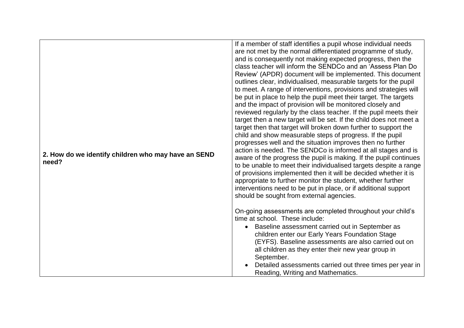| 2. How do we identify children who may have an SEND<br>need? | If a member of staff identifies a pupil whose individual needs<br>are not met by the normal differentiated programme of study,<br>and is consequently not making expected progress, then the<br>class teacher will inform the SENDCo and an 'Assess Plan Do<br>Review' (APDR) document will be implemented. This document<br>outlines clear, individualised, measurable targets for the pupil<br>to meet. A range of interventions, provisions and strategies will<br>be put in place to help the pupil meet their target. The targets<br>and the impact of provision will be monitored closely and<br>reviewed regularly by the class teacher. If the pupil meets their<br>target then a new target will be set. If the child does not meet a<br>target then that target will broken down further to support the<br>child and show measurable steps of progress. If the pupil<br>progresses well and the situation improves then no further<br>action is needed. The SENDCo is informed at all stages and is<br>aware of the progress the pupil is making. If the pupil continues<br>to be unable to meet their individualised targets despite a range<br>of provisions implemented then it will be decided whether it is<br>appropriate to further monitor the student, whether further<br>interventions need to be put in place, or if additional support |
|--------------------------------------------------------------|--------------------------------------------------------------------------------------------------------------------------------------------------------------------------------------------------------------------------------------------------------------------------------------------------------------------------------------------------------------------------------------------------------------------------------------------------------------------------------------------------------------------------------------------------------------------------------------------------------------------------------------------------------------------------------------------------------------------------------------------------------------------------------------------------------------------------------------------------------------------------------------------------------------------------------------------------------------------------------------------------------------------------------------------------------------------------------------------------------------------------------------------------------------------------------------------------------------------------------------------------------------------------------------------------------------------------------------------------------------|
|                                                              | should be sought from external agencies.                                                                                                                                                                                                                                                                                                                                                                                                                                                                                                                                                                                                                                                                                                                                                                                                                                                                                                                                                                                                                                                                                                                                                                                                                                                                                                                     |
|                                                              | On-going assessments are completed throughout your child's<br>time at school. These include:<br>Baseline assessment carried out in September as<br>children enter our Early Years Foundation Stage<br>(EYFS). Baseline assessments are also carried out on<br>all children as they enter their new year group in<br>September.<br>Detailed assessments carried out three times per year in<br>Reading, Writing and Mathematics.                                                                                                                                                                                                                                                                                                                                                                                                                                                                                                                                                                                                                                                                                                                                                                                                                                                                                                                              |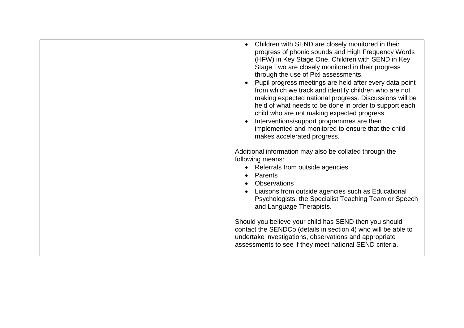| Children with SEND are closely monitored in their<br>progress of phonic sounds and High Frequency Words<br>(HFW) in Key Stage One. Children with SEND in Key<br>Stage Two are closely monitored in their progress<br>through the use of Pixl assessments.<br>Pupil progress meetings are held after every data point<br>from which we track and identify children who are not<br>making expected national progress. Discussions will be<br>held of what needs to be done in order to support each<br>child who are not making expected progress.<br>Interventions/support programmes are then<br>implemented and monitored to ensure that the child<br>makes accelerated progress.<br>Additional information may also be collated through the<br>following means:<br>• Referrals from outside agencies<br>Parents<br>Observations<br>Liaisons from outside agencies such as Educational<br>Psychologists, the Specialist Teaching Team or Speech<br>and Language Therapists. |
|------------------------------------------------------------------------------------------------------------------------------------------------------------------------------------------------------------------------------------------------------------------------------------------------------------------------------------------------------------------------------------------------------------------------------------------------------------------------------------------------------------------------------------------------------------------------------------------------------------------------------------------------------------------------------------------------------------------------------------------------------------------------------------------------------------------------------------------------------------------------------------------------------------------------------------------------------------------------------|
| Should you believe your child has SEND then you should<br>contact the SENDCo (details in section 4) who will be able to<br>undertake investigations, observations and appropriate<br>assessments to see if they meet national SEND criteria.                                                                                                                                                                                                                                                                                                                                                                                                                                                                                                                                                                                                                                                                                                                                 |
|                                                                                                                                                                                                                                                                                                                                                                                                                                                                                                                                                                                                                                                                                                                                                                                                                                                                                                                                                                              |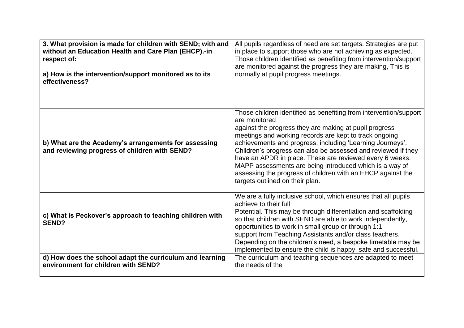| 3. What provision is made for children with SEND; with and                                            | All pupils regardless of need are set targets. Strategies are put                                                                                                                                                                                                                                                                                                                                                                                                                                                                                             |
|-------------------------------------------------------------------------------------------------------|---------------------------------------------------------------------------------------------------------------------------------------------------------------------------------------------------------------------------------------------------------------------------------------------------------------------------------------------------------------------------------------------------------------------------------------------------------------------------------------------------------------------------------------------------------------|
| without an Education Health and Care Plan (EHCP).-in                                                  | in place to support those who are not achieving as expected.                                                                                                                                                                                                                                                                                                                                                                                                                                                                                                  |
| respect of:                                                                                           | Those children identified as benefiting from intervention/support                                                                                                                                                                                                                                                                                                                                                                                                                                                                                             |
| a) How is the intervention/support monitored as to its                                                | are monitored against the progress they are making, This is                                                                                                                                                                                                                                                                                                                                                                                                                                                                                                   |
| effectiveness?                                                                                        | normally at pupil progress meetings.                                                                                                                                                                                                                                                                                                                                                                                                                                                                                                                          |
| b) What are the Academy's arrangements for assessing<br>and reviewing progress of children with SEND? | Those children identified as benefiting from intervention/support<br>are monitored<br>against the progress they are making at pupil progress<br>meetings and working records are kept to track ongoing<br>achievements and progress, including 'Learning Journeys'.<br>Children's progress can also be assessed and reviewed if they<br>have an APDR in place. These are reviewed every 6 weeks.<br>MAPP assessments are being introduced which is a way of<br>assessing the progress of children with an EHCP against the<br>targets outlined on their plan. |
| c) What is Peckover's approach to teaching children with<br><b>SEND?</b>                              | We are a fully inclusive school, which ensures that all pupils<br>achieve to their full<br>Potential. This may be through differentiation and scaffolding<br>so that children with SEND are able to work independently,<br>opportunities to work in small group or through 1:1<br>support from Teaching Assistants and/or class teachers.<br>Depending on the children's need, a bespoke timetable may be<br>implemented to ensure the child is happy, safe and successful.                                                                                   |
| d) How does the school adapt the curriculum and learning                                              | The curriculum and teaching sequences are adapted to meet                                                                                                                                                                                                                                                                                                                                                                                                                                                                                                     |
| environment for children with SEND?                                                                   | the needs of the                                                                                                                                                                                                                                                                                                                                                                                                                                                                                                                                              |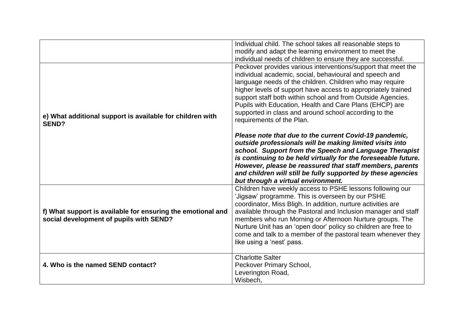|                                                                                                        | Individual child. The school takes all reasonable steps to<br>modify and adapt the learning environment to meet the<br>individual needs of children to ensure they are successful.                                                                                                                                                                                                                                                                                         |
|--------------------------------------------------------------------------------------------------------|----------------------------------------------------------------------------------------------------------------------------------------------------------------------------------------------------------------------------------------------------------------------------------------------------------------------------------------------------------------------------------------------------------------------------------------------------------------------------|
| e) What additional support is available for children with<br><b>SEND?</b>                              | Peckover provides various interventions/support that meet the<br>individual academic, social, behavioural and speech and<br>language needs of the children. Children who may require<br>higher levels of support have access to appropriately trained<br>support staff both within school and from Outside Agencies.<br>Pupils with Education, Health and Care Plans (EHCP) are<br>supported in class and around school according to the<br>requirements of the Plan.      |
|                                                                                                        | Please note that due to the current Covid-19 pandemic,<br>outside professionals will be making limited visits into<br>school. Support from the Speech and Language Therapist<br>is continuing to be held virtually for the foreseeable future.<br>However, please be reassured that staff members, parents<br>and children will still be fully supported by these agencies<br>but through a virtual environment.                                                           |
| f) What support is available for ensuring the emotional and<br>social development of pupils with SEND? | Children have weekly access to PSHE lessons following our<br>'Jigsaw' programme. This is overseen by our PSHE<br>coordinator, Miss Bligh. In addition, nurture activities are<br>available through the Pastoral and Inclusion manager and staff<br>members who run Morning or Afternoon Nurture groups. The<br>Nurture Unit has an 'open door' policy so children are free to<br>come and talk to a member of the pastoral team whenever they<br>like using a 'nest' pass. |
| 4. Who is the named SEND contact?                                                                      | <b>Charlotte Salter</b><br>Peckover Primary School,<br>Leverington Road,<br>Wisbech,                                                                                                                                                                                                                                                                                                                                                                                       |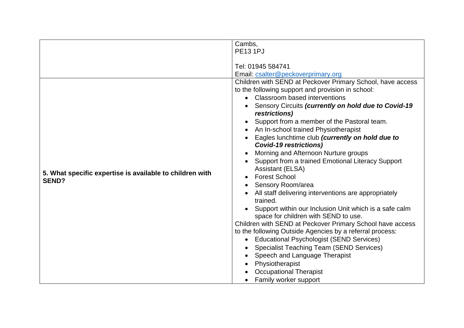|                                                          | Cambs,                                                               |
|----------------------------------------------------------|----------------------------------------------------------------------|
|                                                          |                                                                      |
|                                                          | <b>PE13 1PJ</b>                                                      |
|                                                          |                                                                      |
|                                                          | Tel: 01945 584741                                                    |
|                                                          | Email: csalter@peckoverprimary.org                                   |
|                                                          | Children with SEND at Peckover Primary School, have access           |
|                                                          | to the following support and provision in school:                    |
|                                                          | Classroom based interventions                                        |
|                                                          | Sensory Circuits (currently on hold due to Covid-19<br>restrictions) |
|                                                          | Support from a member of the Pastoral team.                          |
|                                                          | An In-school trained Physiotherapist                                 |
|                                                          | Eagles lunchtime club (currently on hold due to                      |
|                                                          | <b>Covid-19 restrictions)</b>                                        |
|                                                          | Morning and Afternoon Nurture groups                                 |
|                                                          | Support from a trained Emotional Literacy Support                    |
| 5. What specific expertise is available to children with | <b>Assistant (ELSA)</b>                                              |
| <b>SEND?</b>                                             | <b>Forest School</b>                                                 |
|                                                          | Sensory Room/area                                                    |
|                                                          | All staff delivering interventions are appropriately                 |
|                                                          | trained.                                                             |
|                                                          | Support within our Inclusion Unit which is a safe calm               |
|                                                          | space for children with SEND to use.                                 |
|                                                          | Children with SEND at Peckover Primary School have access            |
|                                                          | to the following Outside Agencies by a referral process:             |
|                                                          | <b>Educational Psychologist (SEND Services)</b>                      |
|                                                          | <b>Specialist Teaching Team (SEND Services)</b>                      |
|                                                          | Speech and Language Therapist                                        |
|                                                          | Physiotherapist                                                      |
|                                                          | <b>Occupational Therapist</b>                                        |
|                                                          | Family worker support<br>$\bullet$                                   |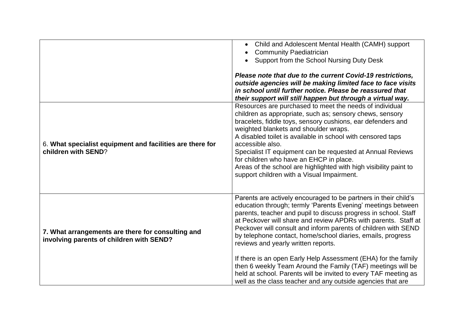|                                                                                               | Child and Adolescent Mental Health (CAMH) support<br><b>Community Paediatrician</b><br>Support from the School Nursing Duty Desk<br>Please note that due to the current Covid-19 restrictions,<br>outside agencies will be making limited face to face visits<br>in school until further notice. Please be reassured that<br>their support will still happen but through a virtual way.                                                                                                                                                                                                                                                                                                                         |
|-----------------------------------------------------------------------------------------------|-----------------------------------------------------------------------------------------------------------------------------------------------------------------------------------------------------------------------------------------------------------------------------------------------------------------------------------------------------------------------------------------------------------------------------------------------------------------------------------------------------------------------------------------------------------------------------------------------------------------------------------------------------------------------------------------------------------------|
| 6. What specialist equipment and facilities are there for<br>children with SEND?              | Resources are purchased to meet the needs of individual<br>children as appropriate, such as; sensory chews, sensory<br>bracelets, fiddle toys, sensory cushions, ear defenders and<br>weighted blankets and shoulder wraps.<br>A disabled toilet is available in school with censored taps<br>accessible also.<br>Specialist IT equipment can be requested at Annual Reviews<br>for children who have an EHCP in place.<br>Areas of the school are highlighted with high visibility paint to<br>support children with a Visual Impairment.                                                                                                                                                                      |
| 7. What arrangements are there for consulting and<br>involving parents of children with SEND? | Parents are actively encouraged to be partners in their child's<br>education through; termly 'Parents Evening' meetings between<br>parents, teacher and pupil to discuss progress in school. Staff<br>at Peckover will share and review APDRs with parents. Staff at<br>Peckover will consult and inform parents of children with SEND<br>by telephone contact, home/school diaries, emails, progress<br>reviews and yearly written reports.<br>If there is an open Early Help Assessment (EHA) for the family<br>then 6 weekly Team Around the Family (TAF) meetings will be<br>held at school. Parents will be invited to every TAF meeting as<br>well as the class teacher and any outside agencies that are |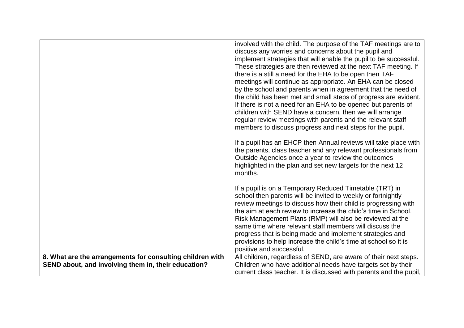|                                                           | involved with the child. The purpose of the TAF meetings are to    |
|-----------------------------------------------------------|--------------------------------------------------------------------|
|                                                           | discuss any worries and concerns about the pupil and               |
|                                                           | implement strategies that will enable the pupil to be successful.  |
|                                                           | These strategies are then reviewed at the next TAF meeting. If     |
|                                                           | there is a still a need for the EHA to be open then TAF            |
|                                                           | meetings will continue as appropriate. An EHA can be closed        |
|                                                           | by the school and parents when in agreement that the need of       |
|                                                           | the child has been met and small steps of progress are evident.    |
|                                                           | If there is not a need for an EHA to be opened but parents of      |
|                                                           | children with SEND have a concern, then we will arrange            |
|                                                           | regular review meetings with parents and the relevant staff        |
|                                                           | members to discuss progress and next steps for the pupil.          |
|                                                           | If a pupil has an EHCP then Annual reviews will take place with    |
|                                                           | the parents, class teacher and any relevant professionals from     |
|                                                           | Outside Agencies once a year to review the outcomes                |
|                                                           | highlighted in the plan and set new targets for the next 12        |
|                                                           | months.                                                            |
|                                                           |                                                                    |
|                                                           | If a pupil is on a Temporary Reduced Timetable (TRT) in            |
|                                                           | school then parents will be invited to weekly or fortnightly       |
|                                                           | review meetings to discuss how their child is progressing with     |
|                                                           | the aim at each review to increase the child's time in School.     |
|                                                           | Risk Management Plans (RMP) will also be reviewed at the           |
|                                                           | same time where relevant staff members will discuss the            |
|                                                           | progress that is being made and implement strategies and           |
|                                                           | provisions to help increase the child's time at school so it is    |
|                                                           | positive and successful.                                           |
| 8. What are the arrangements for consulting children with | All children, regardless of SEND, are aware of their next steps.   |
| SEND about, and involving them in, their education?       | Children who have additional needs have targets set by their       |
|                                                           | current class teacher. It is discussed with parents and the pupil, |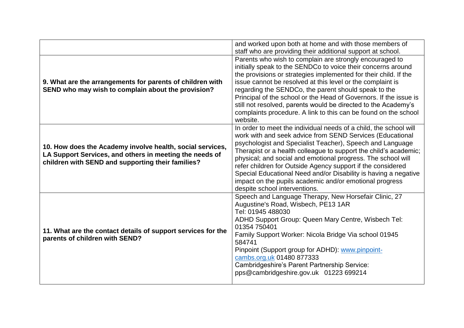|                                                                                                                                                                           | and worked upon both at home and with those members of<br>staff who are providing their additional support at school.                                                                                                                                                                                                                                                                                                                                                                                                                                         |
|---------------------------------------------------------------------------------------------------------------------------------------------------------------------------|---------------------------------------------------------------------------------------------------------------------------------------------------------------------------------------------------------------------------------------------------------------------------------------------------------------------------------------------------------------------------------------------------------------------------------------------------------------------------------------------------------------------------------------------------------------|
| 9. What are the arrangements for parents of children with<br>SEND who may wish to complain about the provision?                                                           | Parents who wish to complain are strongly encouraged to<br>initially speak to the SENDCo to voice their concerns around<br>the provisions or strategies implemented for their child. If the<br>issue cannot be resolved at this level or the complaint is<br>regarding the SENDCo, the parent should speak to the<br>Principal of the school or the Head of Governors. If the issue is<br>still not resolved, parents would be directed to the Academy's<br>complaints procedure. A link to this can be found on the school<br>website.                       |
| 10. How does the Academy involve health, social services,<br>LA Support Services, and others in meeting the needs of<br>children with SEND and supporting their families? | In order to meet the individual needs of a child, the school will<br>work with and seek advice from SEND Services (Educational<br>psychologist and Specialist Teacher), Speech and Language<br>Therapist or a health colleague to support the child's academic;<br>physical; and social and emotional progress. The school will<br>refer children for Outside Agency support if the considered<br>Special Educational Need and/or Disability is having a negative<br>impact on the pupils academic and/or emotional progress<br>despite school interventions. |
| 11. What are the contact details of support services for the<br>parents of children with SEND?                                                                            | Speech and Language Therapy, New Horsefair Clinic, 27<br>Augustine's Road, Wisbech, PE13 1AR<br>Tel: 01945 488030<br>ADHD Support Group: Queen Mary Centre, Wisbech Tel:<br>01354 750401<br>Family Support Worker: Nicola Bridge Via school 01945<br>584741<br>Pinpoint (Support group for ADHD): www.pinpoint-<br>cambs.org.uk 01480 877333<br>Cambridgeshire's Parent Partnership Service:<br>pps@cambridgeshire.gov.uk 01223 699214                                                                                                                        |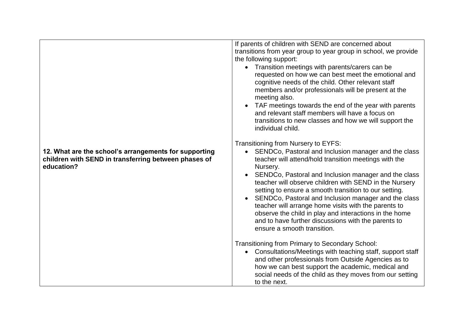|                                                                                                                             | If parents of children with SEND are concerned about                                                                                                                                                                                                                                                                                                                                                                                                                                                                                                                 |
|-----------------------------------------------------------------------------------------------------------------------------|----------------------------------------------------------------------------------------------------------------------------------------------------------------------------------------------------------------------------------------------------------------------------------------------------------------------------------------------------------------------------------------------------------------------------------------------------------------------------------------------------------------------------------------------------------------------|
|                                                                                                                             | transitions from year group to year group in school, we provide                                                                                                                                                                                                                                                                                                                                                                                                                                                                                                      |
|                                                                                                                             | the following support:                                                                                                                                                                                                                                                                                                                                                                                                                                                                                                                                               |
|                                                                                                                             | • Transition meetings with parents/carers can be<br>requested on how we can best meet the emotional and<br>cognitive needs of the child. Other relevant staff<br>members and/or professionals will be present at the<br>meeting also.<br>TAF meetings towards the end of the year with parents<br>and relevant staff members will have a focus on<br>transitions to new classes and how we will support the<br>individual child.                                                                                                                                     |
|                                                                                                                             |                                                                                                                                                                                                                                                                                                                                                                                                                                                                                                                                                                      |
|                                                                                                                             | Transitioning from Nursery to EYFS:                                                                                                                                                                                                                                                                                                                                                                                                                                                                                                                                  |
| 12. What are the school's arrangements for supporting<br>children with SEND in transferring between phases of<br>education? | SENDCo, Pastoral and Inclusion manager and the class<br>teacher will attend/hold transition meetings with the<br>Nursery.<br>SENDCo, Pastoral and Inclusion manager and the class<br>teacher will observe children with SEND in the Nursery<br>setting to ensure a smooth transition to our setting.<br>SENDCo, Pastoral and Inclusion manager and the class<br>teacher will arrange home visits with the parents to<br>observe the child in play and interactions in the home<br>and to have further discussions with the parents to<br>ensure a smooth transition. |
|                                                                                                                             | Transitioning from Primary to Secondary School:<br>Consultations/Meetings with teaching staff, support staff<br>and other professionals from Outside Agencies as to<br>how we can best support the academic, medical and<br>social needs of the child as they moves from our setting<br>to the next.                                                                                                                                                                                                                                                                 |